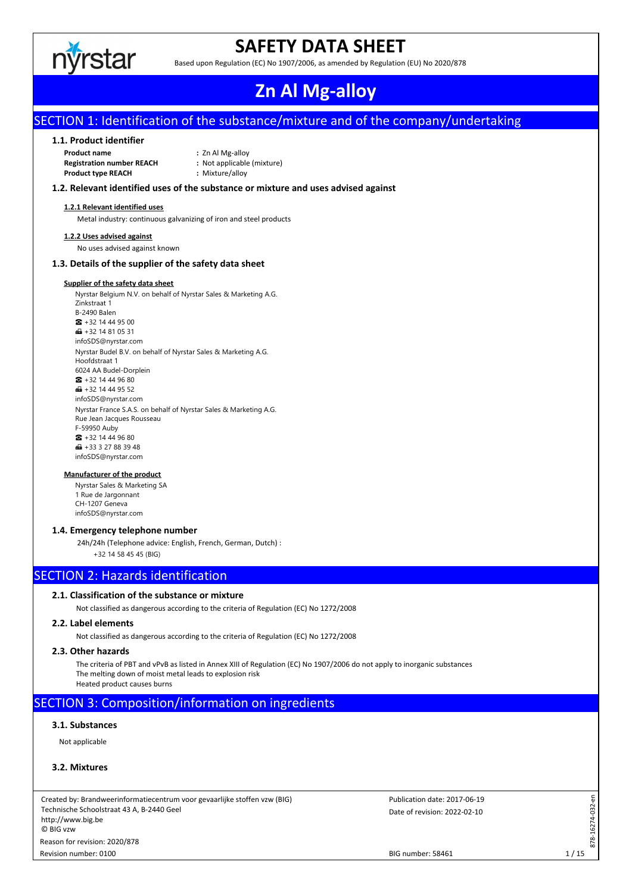

# **SAFETY DATA SHEET**

Based upon Regulation (EC) No 1907/2006, as amended by Regulation (EU) No 2020/878

# **Zn Al Mg-alloy**

# SECTION 1: Identification of the substance/mixture and of the company/undertaking

## **1.1. Product identifier**

**Product name :** Zn Al Mg-alloy **Registration number REACH :** Not applicable (mixture) **Product type REACH :** Mixture/alloy

# **1.2. Relevant identified uses of the substance or mixture and uses advised against**

### **1.2.1 Relevant identified uses**

Metal industry: continuous galvanizing of iron and steel products

#### **1.2.2 Uses advised against**

No uses advised against known

## **1.3. Details of the supplier of the safety data sheet**

### **Supplier of the safety data sheet**

Nyrstar Belgium N.V. on behalf of Nyrstar Sales & Marketing A.G. Zinkstraat 1 B-2490 Balen ☎ +32 14 44 95 00  $\bigoplus$  +32 14 81 05 31 infoSDS@nyrstar.com Nyrstar Budel B.V. on behalf of Nyrstar Sales & Marketing A.G. Hoofdstraat 1 6024 AA Budel-Dorplein  $\bullet$  +32 14 44 96 80  $\bigoplus$  +32 14 44 95 52 infoSDS@nyrstar.com Nyrstar France S.A.S. on behalf of Nyrstar Sales & Marketing A.G. Rue Jean Jacques Rousseau F-59950 Auby ☎ +32 14 44 96 80  $\bigoplus$  +33 3 27 88 39 48 infoSDS@nyrstar.com

#### **Manufacturer of the product**

Nyrstar Sales & Marketing SA 1 Rue de Jargonnant CH-1207 Geneva infoSDS@nyrstar.com

# **1.4. Emergency telephone number**

24h/24h (Telephone advice: English, French, German, Dutch) : +32 14 58 45 45 (BIG)

# SECTION 2: Hazards identification

# **2.1. Classification of the substance or mixture**

Not classified as dangerous according to the criteria of Regulation (EC) No 1272/2008

## **2.2. Label elements**

Not classified as dangerous according to the criteria of Regulation (EC) No 1272/2008

## **2.3. Other hazards**

The criteria of PBT and vPvB as listed in Annex XIII of Regulation (EC) No 1907/2006 do not apply to inorganic substances The melting down of moist metal leads to explosion risk Heated product causes burns

# SECTION 3: Composition/information on ingredients

# **3.1. Substances**

Not applicable

## **3.2. Mixtures**

Created by: Brandweerinformatiecentrum voor gevaarlijke stoffen vzw (BIG) Technische Schoolstraat 43 A, B-2440 Geel http://www.big.be © BIG vzw Revision number: 0100 Reason for revision: 2020/878

Date of revision: 2022-02-10 Publication date: 2017-06-19 878-16274-032-en

 $878 - 3$ 

16274-032-en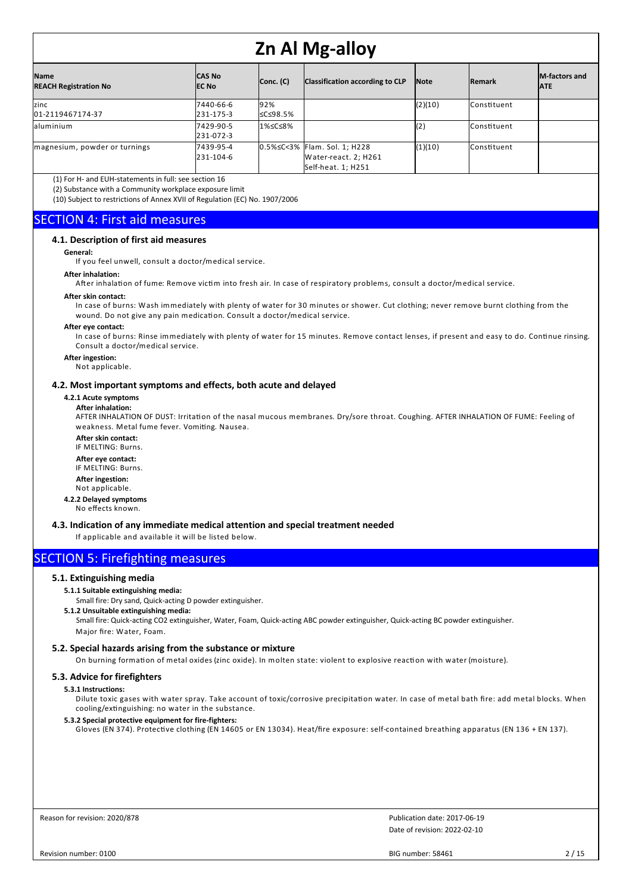| <b>Name</b><br><b>REACH Registration No</b> | <b>CAS No</b><br><b>IEC No</b> | Conc. (C)        | Classification according to CLP                                            | <b>Note</b>     | <b>Remark</b>        | <b>IM-factors and</b><br><b>JATE</b> |
|---------------------------------------------|--------------------------------|------------------|----------------------------------------------------------------------------|-----------------|----------------------|--------------------------------------|
| zinc<br>01-2119467174-37                    | 7440-66-6<br>231-175-3         | 92%<br>l≤C≤98.5% |                                                                            | (2)(10)         | <b>l</b> Constituent |                                      |
| aluminium                                   | 7429-90-5<br>231-072-3         | l1%≤C≤8%         |                                                                            | $\mathsf{I}(2)$ | <b>l</b> Constituent |                                      |
| magnesium, powder or turnings               | 7439-95-4<br>231-104-6         |                  | 0.5%≤C<3% Flam. Sol. 1; H228<br>Water-react. 2; H261<br>Self-heat. 1; H251 | (1)(10)         | <b>l</b> Constituent |                                      |

(1) For H- and EUH-statements in full: see section 16

(2) Substance with a Community workplace exposure limit

(10) Subject to restrictions of Annex XVII of Regulation (EC) No. 1907/2006

# SECTION 4: First aid measures

# **4.1. Description of first aid measures**

**General:**

If you feel unwell, consult a doctor/medical service.

#### **After inhalation:**

After inhalation of fume: Remove victim into fresh air. In case of respiratory problems, consult a doctor/medical service.

#### **After skin contact:**

In case of burns: Wash immediately with plenty of water for 30 minutes or shower. Cut clothing; never remove burnt clothing from the wound. Do not give any pain medication. Consult a doctor/medical service.

# **After eye contact:**

In case of burns: Rinse immediately with plenty of water for 15 minutes. Remove contact lenses, if present and easy to do. Continue rinsing. Consult a doctor/medical service.

### **After ingestion:**

Not applicable.

#### **4.2. Most important symptoms and effects, both acute and delayed**

# **4.2.1 Acute symptoms**

**After inhalation:**

AFTER INHALATION OF DUST: Irritation of the nasal mucous membranes. Dry/sore throat. Coughing. AFTER INHALATION OF FUME: Feeling of weakness. Metal fume fever. Vomiting. Nausea.

**After skin contact:**

IF MELTING: Burns. **After eye contact:** IF MELTING: Burns. **After ingestion:**

# Not applicable.

**4.2.2 Delayed symptoms** No effects known.

**4.3. Indication of any immediate medical attention and special treatment needed**

If applicable and available it will be listed below.

# SECTION 5: Firefighting measures

## **5.1. Extinguishing media**

# **5.1.1 Suitable extinguishing media:**

Small fire: Dry sand, Quick-acting D powder extinguisher.

**5.1.2 Unsuitable extinguishing media:**

Small fire: Quick-acting CO2 extinguisher, Water, Foam, Quick-acting ABC powder extinguisher, Quick-acting BC powder extinguisher. Major fire: Water, Foam.

# **5.2. Special hazards arising from the substance or mixture**

On burning formation of metal oxides (zinc oxide). In molten state: violent to explosive reaction with water (moisture).

# **5.3. Advice for firefighters**

#### **5.3.1 Instructions:**

Dilute toxic gases with water spray. Take account of toxic/corrosive precipitation water. In case of metal bath fire: add metal blocks. When cooling/extinguishing: no water in the substance.

**5.3.2 Special protective equipment for fire-fighters:**

Gloves (EN 374). Protective clothing (EN 14605 or EN 13034). Heat/fire exposure: self-contained breathing apparatus (EN 136 + EN 137).

Reason for revision: 2020/878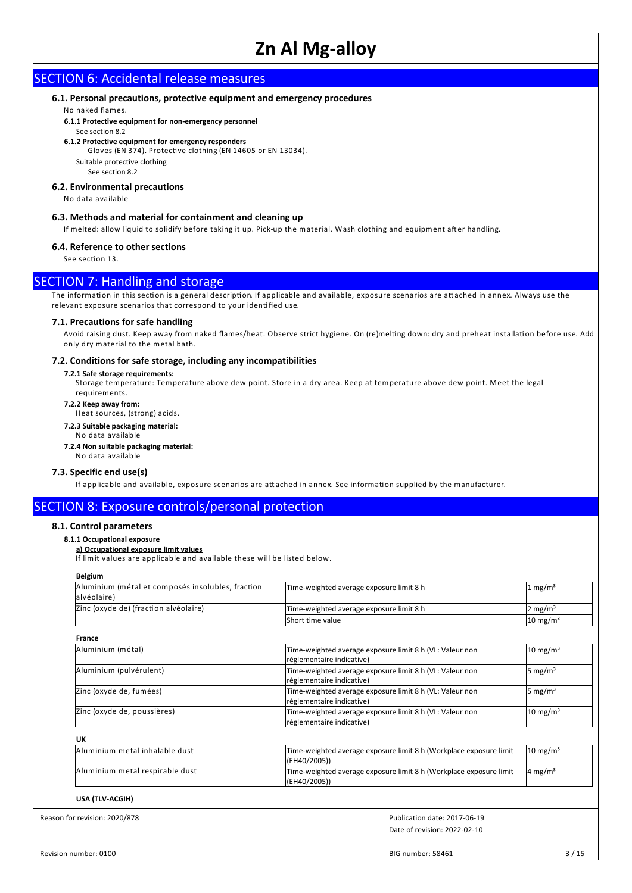# SECTION 6: Accidental release measures

# **6.1. Personal precautions, protective equipment and emergency procedures**

No naked flames.

**6.1.1 Protective equipment for non-emergency personnel**

#### See section 8.2 **6.1.2 Protective equipment for emergency responders**

Gloves (EN 374). Protective clothing (EN 14605 or EN 13034).

Suitable protective clothing

See section 8.2

### **6.2. Environmental precautions**

No data available

# **6.3. Methods and material for containment and cleaning up**

If melted: allow liquid to solidify before taking it up. Pick-up the material. Wash clothing and equipment after handling.

#### **6.4. Reference to other sections**

See section 13.

# **SECTION 7: Handling and storage**

The information in this section is a general description. If applicable and available, exposure scenarios are attached in annex. Always use the relevant exposure scenarios that correspond to your identified use.

#### **7.1. Precautions for safe handling**

Avoid raising dust. Keep away from naked flames/heat. Observe strict hygiene. On (re)melting down: dry and preheat installation before use. Add only dry material to the metal bath.

## **7.2. Conditions for safe storage, including any incompatibilities**

#### **7.2.1 Safe storage requirements:**

Storage temperature: Temperature above dew point. Store in a dry area. Keep at temperature above dew point. Meet the legal requirements.

**7.2.2 Keep away from:**

Heat sources, (strong) acids.

- **7.2.3 Suitable packaging material:**
- No data available
- **7.2.4 Non suitable packaging material:**
- No data available

#### **7.3. Specific end use(s)**

If applicable and available, exposure scenarios are attached in annex. See information supplied by the manufacturer.

# SECTION 8: Exposure controls/personal protection

# **8.1. Control parameters**

# **8.1.1 Occupational exposure**

**a) Occupational exposure limit values**

If lim it values are applicable and available these will be listed below.

# **Belgium**

| Aluminium (métal et composés insolubles, fraction<br>alvéolaire) | Time-weighted average exposure limit 8 h                                              | 1 mg/m <sup>3</sup> |  |  |
|------------------------------------------------------------------|---------------------------------------------------------------------------------------|---------------------|--|--|
| Zinc (oxyde de) (fraction alvéolaire)                            | Time-weighted average exposure limit 8 h                                              | 2 mg/m <sup>3</sup> |  |  |
|                                                                  | Short time value                                                                      | $10 \text{ mg/m}^3$ |  |  |
| France                                                           |                                                                                       |                     |  |  |
| Aluminium (métal)                                                | Time-weighted average exposure limit 8 h (VL: Valeur non<br>réglementaire indicative) | $10 \text{ mg/m}^3$ |  |  |
| Aluminium (pulvérulent)                                          | Time-weighted average exposure limit 8 h (VL: Valeur non<br>réglementaire indicative) | 5 mg/m <sup>3</sup> |  |  |
| Zinc (oxyde de, fumées)                                          | Time-weighted average exposure limit 8 h (VL: Valeur non<br>réglementaire indicative) | 5 mg/m <sup>3</sup> |  |  |
| Zinc (oxyde de, poussières)                                      | Time-weighted average exposure limit 8 h (VL: Valeur non<br>réglementaire indicative) | $10 \text{ mg/m}^3$ |  |  |
| <b>UK</b>                                                        |                                                                                       |                     |  |  |
| Aluminium metal inhalable dust                                   | Time-weighted average exposure limit 8 h (Workplace exposure limit<br>(EH40/2005))    | $10 \text{ mg/m}^3$ |  |  |
| Aluminium metal respirable dust                                  | Time-weighted average exposure limit 8 h (Workplace exposure limit<br>(EH40/2005))    | 4 mg/m <sup>3</sup> |  |  |
| USA (TLV-ACGIH)                                                  |                                                                                       |                     |  |  |
| Reason for revision: 2020/878                                    | Publication date: 2017-06-19                                                          |                     |  |  |
|                                                                  | Date of revision: 2022-02-10                                                          |                     |  |  |

Revision number: 0100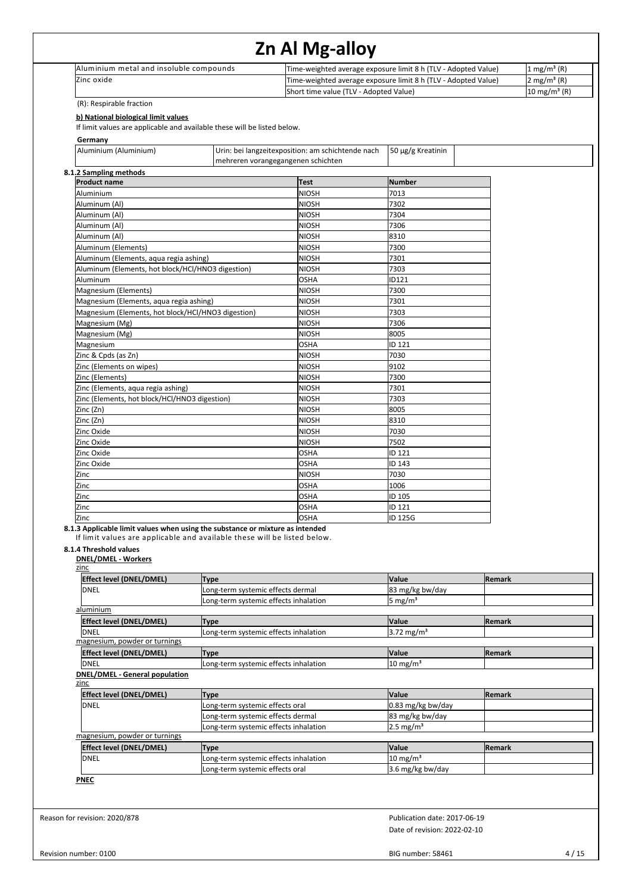| If limit values are applicable and available these will be listed below.<br>mehreren vorangegangenen schichten | Short time value (TLV - Adopted Value)<br>Urin: bei langzeitexposition: am schichtende nach<br><b>Test</b><br><b>NIOSH</b><br><b>NIOSH</b><br><b>NIOSH</b>       | Time-weighted average exposure limit 8 h (TLV - Adopted Value)<br>50 μg/g Kreatinin<br><b>Number</b><br>7013                                                                                                                                                                                                                                                                                                                                                                                                                                                                                                                                                         | 2 mg/m <sup>3</sup> (R)<br>$10 \text{ mg/m}^3$ (R)                                                                                                                                    |
|----------------------------------------------------------------------------------------------------------------|------------------------------------------------------------------------------------------------------------------------------------------------------------------|----------------------------------------------------------------------------------------------------------------------------------------------------------------------------------------------------------------------------------------------------------------------------------------------------------------------------------------------------------------------------------------------------------------------------------------------------------------------------------------------------------------------------------------------------------------------------------------------------------------------------------------------------------------------|---------------------------------------------------------------------------------------------------------------------------------------------------------------------------------------|
|                                                                                                                |                                                                                                                                                                  |                                                                                                                                                                                                                                                                                                                                                                                                                                                                                                                                                                                                                                                                      |                                                                                                                                                                                       |
|                                                                                                                |                                                                                                                                                                  |                                                                                                                                                                                                                                                                                                                                                                                                                                                                                                                                                                                                                                                                      |                                                                                                                                                                                       |
|                                                                                                                |                                                                                                                                                                  |                                                                                                                                                                                                                                                                                                                                                                                                                                                                                                                                                                                                                                                                      |                                                                                                                                                                                       |
|                                                                                                                |                                                                                                                                                                  |                                                                                                                                                                                                                                                                                                                                                                                                                                                                                                                                                                                                                                                                      |                                                                                                                                                                                       |
|                                                                                                                |                                                                                                                                                                  |                                                                                                                                                                                                                                                                                                                                                                                                                                                                                                                                                                                                                                                                      |                                                                                                                                                                                       |
|                                                                                                                |                                                                                                                                                                  |                                                                                                                                                                                                                                                                                                                                                                                                                                                                                                                                                                                                                                                                      |                                                                                                                                                                                       |
|                                                                                                                |                                                                                                                                                                  | 7302                                                                                                                                                                                                                                                                                                                                                                                                                                                                                                                                                                                                                                                                 |                                                                                                                                                                                       |
|                                                                                                                |                                                                                                                                                                  | 7304                                                                                                                                                                                                                                                                                                                                                                                                                                                                                                                                                                                                                                                                 |                                                                                                                                                                                       |
|                                                                                                                | <b>NIOSH</b>                                                                                                                                                     | 7306                                                                                                                                                                                                                                                                                                                                                                                                                                                                                                                                                                                                                                                                 |                                                                                                                                                                                       |
|                                                                                                                | <b>NIOSH</b>                                                                                                                                                     | 8310                                                                                                                                                                                                                                                                                                                                                                                                                                                                                                                                                                                                                                                                 |                                                                                                                                                                                       |
|                                                                                                                | <b>NIOSH</b>                                                                                                                                                     | 7300                                                                                                                                                                                                                                                                                                                                                                                                                                                                                                                                                                                                                                                                 |                                                                                                                                                                                       |
|                                                                                                                | <b>NIOSH</b>                                                                                                                                                     | 7301                                                                                                                                                                                                                                                                                                                                                                                                                                                                                                                                                                                                                                                                 |                                                                                                                                                                                       |
| Aluminum (Elements, hot block/HCl/HNO3 digestion)                                                              | <b>NIOSH</b>                                                                                                                                                     | 7303                                                                                                                                                                                                                                                                                                                                                                                                                                                                                                                                                                                                                                                                 |                                                                                                                                                                                       |
|                                                                                                                | <b>OSHA</b><br><b>NIOSH</b>                                                                                                                                      | ID121<br>7300                                                                                                                                                                                                                                                                                                                                                                                                                                                                                                                                                                                                                                                        |                                                                                                                                                                                       |
|                                                                                                                | <b>NIOSH</b>                                                                                                                                                     | 7301                                                                                                                                                                                                                                                                                                                                                                                                                                                                                                                                                                                                                                                                 |                                                                                                                                                                                       |
|                                                                                                                | <b>NIOSH</b>                                                                                                                                                     | 7303                                                                                                                                                                                                                                                                                                                                                                                                                                                                                                                                                                                                                                                                 |                                                                                                                                                                                       |
|                                                                                                                | <b>NIOSH</b>                                                                                                                                                     | 7306                                                                                                                                                                                                                                                                                                                                                                                                                                                                                                                                                                                                                                                                 |                                                                                                                                                                                       |
|                                                                                                                | <b>NIOSH</b>                                                                                                                                                     | 8005                                                                                                                                                                                                                                                                                                                                                                                                                                                                                                                                                                                                                                                                 |                                                                                                                                                                                       |
|                                                                                                                | <b>OSHA</b>                                                                                                                                                      | ID 121                                                                                                                                                                                                                                                                                                                                                                                                                                                                                                                                                                                                                                                               |                                                                                                                                                                                       |
|                                                                                                                |                                                                                                                                                                  |                                                                                                                                                                                                                                                                                                                                                                                                                                                                                                                                                                                                                                                                      |                                                                                                                                                                                       |
|                                                                                                                |                                                                                                                                                                  |                                                                                                                                                                                                                                                                                                                                                                                                                                                                                                                                                                                                                                                                      |                                                                                                                                                                                       |
|                                                                                                                |                                                                                                                                                                  |                                                                                                                                                                                                                                                                                                                                                                                                                                                                                                                                                                                                                                                                      |                                                                                                                                                                                       |
|                                                                                                                |                                                                                                                                                                  |                                                                                                                                                                                                                                                                                                                                                                                                                                                                                                                                                                                                                                                                      |                                                                                                                                                                                       |
|                                                                                                                | <b>NIOSH</b>                                                                                                                                                     | 8005                                                                                                                                                                                                                                                                                                                                                                                                                                                                                                                                                                                                                                                                 |                                                                                                                                                                                       |
|                                                                                                                | <b>NIOSH</b>                                                                                                                                                     | 8310                                                                                                                                                                                                                                                                                                                                                                                                                                                                                                                                                                                                                                                                 |                                                                                                                                                                                       |
|                                                                                                                | <b>NIOSH</b>                                                                                                                                                     | 7030                                                                                                                                                                                                                                                                                                                                                                                                                                                                                                                                                                                                                                                                 |                                                                                                                                                                                       |
|                                                                                                                | <b>NIOSH</b>                                                                                                                                                     | 7502                                                                                                                                                                                                                                                                                                                                                                                                                                                                                                                                                                                                                                                                 |                                                                                                                                                                                       |
|                                                                                                                | <b>OSHA</b>                                                                                                                                                      | ID 121                                                                                                                                                                                                                                                                                                                                                                                                                                                                                                                                                                                                                                                               |                                                                                                                                                                                       |
|                                                                                                                |                                                                                                                                                                  |                                                                                                                                                                                                                                                                                                                                                                                                                                                                                                                                                                                                                                                                      |                                                                                                                                                                                       |
|                                                                                                                |                                                                                                                                                                  |                                                                                                                                                                                                                                                                                                                                                                                                                                                                                                                                                                                                                                                                      |                                                                                                                                                                                       |
|                                                                                                                |                                                                                                                                                                  |                                                                                                                                                                                                                                                                                                                                                                                                                                                                                                                                                                                                                                                                      |                                                                                                                                                                                       |
|                                                                                                                |                                                                                                                                                                  | ID 121                                                                                                                                                                                                                                                                                                                                                                                                                                                                                                                                                                                                                                                               |                                                                                                                                                                                       |
|                                                                                                                | <b>OSHA</b>                                                                                                                                                      | ID 125G                                                                                                                                                                                                                                                                                                                                                                                                                                                                                                                                                                                                                                                              |                                                                                                                                                                                       |
|                                                                                                                |                                                                                                                                                                  |                                                                                                                                                                                                                                                                                                                                                                                                                                                                                                                                                                                                                                                                      | Remark                                                                                                                                                                                |
|                                                                                                                |                                                                                                                                                                  | 83 mg/kg bw/day                                                                                                                                                                                                                                                                                                                                                                                                                                                                                                                                                                                                                                                      |                                                                                                                                                                                       |
|                                                                                                                |                                                                                                                                                                  | 5 mg/m <sup>3</sup>                                                                                                                                                                                                                                                                                                                                                                                                                                                                                                                                                                                                                                                  |                                                                                                                                                                                       |
|                                                                                                                |                                                                                                                                                                  |                                                                                                                                                                                                                                                                                                                                                                                                                                                                                                                                                                                                                                                                      |                                                                                                                                                                                       |
|                                                                                                                |                                                                                                                                                                  |                                                                                                                                                                                                                                                                                                                                                                                                                                                                                                                                                                                                                                                                      | Remark                                                                                                                                                                                |
|                                                                                                                |                                                                                                                                                                  |                                                                                                                                                                                                                                                                                                                                                                                                                                                                                                                                                                                                                                                                      |                                                                                                                                                                                       |
|                                                                                                                |                                                                                                                                                                  |                                                                                                                                                                                                                                                                                                                                                                                                                                                                                                                                                                                                                                                                      | Remark                                                                                                                                                                                |
|                                                                                                                |                                                                                                                                                                  | $10 \text{ mg/m}^3$                                                                                                                                                                                                                                                                                                                                                                                                                                                                                                                                                                                                                                                  |                                                                                                                                                                                       |
|                                                                                                                |                                                                                                                                                                  |                                                                                                                                                                                                                                                                                                                                                                                                                                                                                                                                                                                                                                                                      |                                                                                                                                                                                       |
|                                                                                                                |                                                                                                                                                                  | Value                                                                                                                                                                                                                                                                                                                                                                                                                                                                                                                                                                                                                                                                | Remark                                                                                                                                                                                |
|                                                                                                                |                                                                                                                                                                  | 0.83 mg/kg bw/day                                                                                                                                                                                                                                                                                                                                                                                                                                                                                                                                                                                                                                                    |                                                                                                                                                                                       |
|                                                                                                                |                                                                                                                                                                  | 83 mg/kg bw/day                                                                                                                                                                                                                                                                                                                                                                                                                                                                                                                                                                                                                                                      |                                                                                                                                                                                       |
|                                                                                                                |                                                                                                                                                                  |                                                                                                                                                                                                                                                                                                                                                                                                                                                                                                                                                                                                                                                                      |                                                                                                                                                                                       |
|                                                                                                                |                                                                                                                                                                  |                                                                                                                                                                                                                                                                                                                                                                                                                                                                                                                                                                                                                                                                      | Remark                                                                                                                                                                                |
|                                                                                                                |                                                                                                                                                                  |                                                                                                                                                                                                                                                                                                                                                                                                                                                                                                                                                                                                                                                                      |                                                                                                                                                                                       |
|                                                                                                                |                                                                                                                                                                  | 3.6 mg/kg bw/day                                                                                                                                                                                                                                                                                                                                                                                                                                                                                                                                                                                                                                                     |                                                                                                                                                                                       |
|                                                                                                                |                                                                                                                                                                  |                                                                                                                                                                                                                                                                                                                                                                                                                                                                                                                                                                                                                                                                      |                                                                                                                                                                                       |
| Magnesium (Elements, aqua regia ashing)                                                                        | Magnesium (Elements, hot block/HCl/HNO3 digestion)<br>Zinc (Elements, hot block/HCl/HNO3 digestion)<br><b>Type</b><br>Type<br>Type<br><b>Type</b><br><b>Type</b> | <b>NIOSH</b><br><b>NIOSH</b><br><b>NIOSH</b><br><b>NIOSH</b><br><b>NIOSH</b><br><b>OSHA</b><br><b>NIOSH</b><br><b>OSHA</b><br>OSHA<br>OSHA<br>8.1.3 Applicable limit values when using the substance or mixture as intended<br>If limit values are applicable and available these will be listed below.<br>Long-term systemic effects dermal<br>Long-term systemic effects inhalation<br>Long-term systemic effects inhalation<br>Long-term systemic effects inhalation<br>Long-term systemic effects oral<br>Long-term systemic effects dermal<br>Long-term systemic effects inhalation<br>Long-term systemic effects inhalation<br>Long-term systemic effects oral | 7030<br>9102<br>7300<br>7301<br>7303<br>ID 143<br>7030<br>1006<br>ID 105<br>Value<br>Value<br>3.72 mg/m <sup>3</sup><br>Value<br>$2.5 \text{ mg/m}^3$<br>Value<br>$10 \text{ mg/m}^3$ |

Revision number: 0100

BIG number: 58461 4/15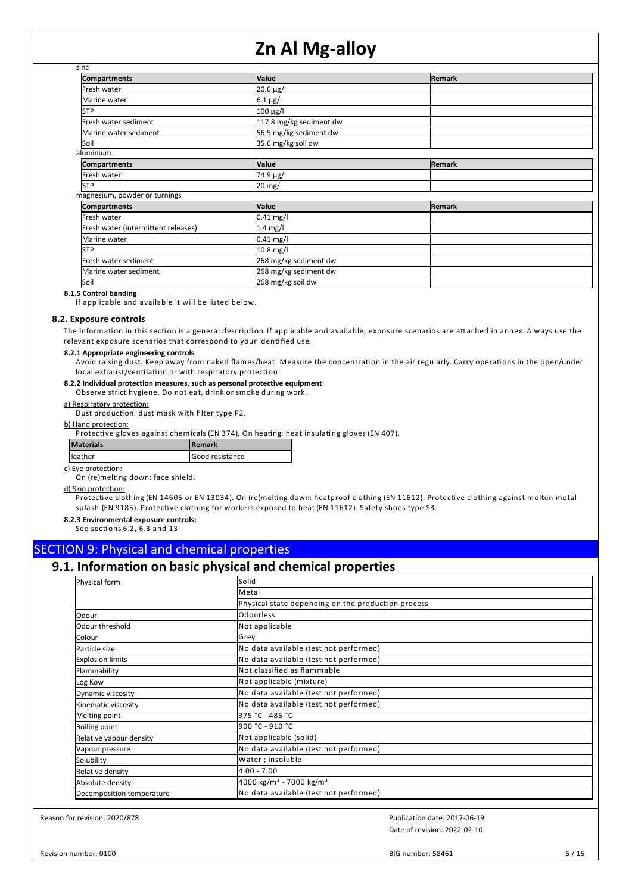| zinc                                |                         |               |  |
|-------------------------------------|-------------------------|---------------|--|
|                                     |                         |               |  |
| <b>Compartments</b>                 | <b>Value</b>            | Remark        |  |
| Fresh water                         | $20.6 \,\mu g/l$        |               |  |
| Marine water                        | $6.1 \,\mu g/l$         |               |  |
| <b>STP</b>                          | $100 \mu g/l$           |               |  |
| Fresh water sediment                | 117.8 mg/kg sediment dw |               |  |
| Marine water sediment               | 56.5 mg/kg sediment dw  |               |  |
| Soil                                | 35.6 mg/kg soil dw      |               |  |
| aluminium                           |                         |               |  |
| <b>Compartments</b>                 | <b>Value</b>            | <b>Remark</b> |  |
| Fresh water                         | 74.9 µg/l               |               |  |
| <b>STP</b>                          | 20 mg/l                 |               |  |
| magnesium, powder or turnings       |                         |               |  |
| <b>Compartments</b>                 | <b>Value</b>            | Remark        |  |
| Fresh water                         | $0.41$ mg/l             |               |  |
| Fresh water (intermittent releases) | $1.4$ mg/l              |               |  |
| Marine water                        | $0.41$ mg/l             |               |  |
| <b>STP</b>                          | 10.8 mg/l               |               |  |
| Fresh water sediment                | 268 mg/kg sediment dw   |               |  |
| Marine water sediment               | 268 mg/kg sediment dw   |               |  |
| Soil                                | 268 mg/kg soil dw       |               |  |

## **8.1.5 Control banding**

If applicable and available it will be listed below.

#### **8.2. Exposure controls**

The information in this section is a general description. If applicable and available, exposure scenarios are attached in annex. Always use the relevant exposure scenarios that correspond to your identified use.

#### **8.2.1 Appropriate engineering controls**

Avoid raising dust. Keep away from naked flames/heat. Measure the concentration in the air regularly. Carry operations in the open/under local exhaust/ventilation or with respiratory protection.

# **8.2.2 Individual protection measures, such as personal protective equipment**

Observe strict hygiene. Do not eat, drink or smoke during work.

# a) Respiratory protection:

Dust production: dust mask with filter type P2.

b) Hand protection:

Protective gloves against chemicals (EN 374), On heating: heat insulating gloves (EN 407).

| <b>Materials</b> | l Remark        |
|------------------|-----------------|
| leather          | Good resistance |

### c) Eye protection:

On (re)melting down: face shield.

#### d) Skin protection:

Protective clothing (EN 14605 or EN 13034). On (re)melting down: heatproof clothing (EN 11612). Protective clothing against molten metal splash (EN 9185). Protective clothing for workers exposed to heat (EN 11612). Safety shoes type S3.

**8.2.3 Environmental exposure controls:**

See sections 6.2, 6.3 and 13

# SECTION 9: Physical and chemical properties

# **9.1. Information on basic physical and chemical properties**

| Physical form             | Solid                                              |  |  |  |  |  |
|---------------------------|----------------------------------------------------|--|--|--|--|--|
|                           | <b>Metal</b>                                       |  |  |  |  |  |
|                           | Physical state depending on the production process |  |  |  |  |  |
| Odour                     | Odourless                                          |  |  |  |  |  |
| Odour threshold           | Not applicable                                     |  |  |  |  |  |
| Colour                    | Grey                                               |  |  |  |  |  |
| Particle size             | No data available (test not performed)             |  |  |  |  |  |
| <b>Explosion limits</b>   | No data available (test not performed)             |  |  |  |  |  |
| Flammability              | Not classified as flammable                        |  |  |  |  |  |
| Log Kow                   | Not applicable (mixture)                           |  |  |  |  |  |
| Dynamic viscosity         | No data available (test not performed)             |  |  |  |  |  |
| Kinematic viscosity       | No data available (test not performed)             |  |  |  |  |  |
| Melting point             | 375 °C - 485 °C                                    |  |  |  |  |  |
| <b>Boiling point</b>      | 900 °C - 910 °C                                    |  |  |  |  |  |
| Relative vapour density   | Not applicable (solid)                             |  |  |  |  |  |
| Vapour pressure           | No data available (test not performed)             |  |  |  |  |  |
| Solubility                | Water; insoluble                                   |  |  |  |  |  |
| Relative density          | 4.00 - 7.00                                        |  |  |  |  |  |
| Absolute density          | 4000 kg/m <sup>3</sup> - 7000 kg/m <sup>3</sup>    |  |  |  |  |  |
| Decomposition temperature | No data available (test not performed)             |  |  |  |  |  |

Reason for revision: 2020/878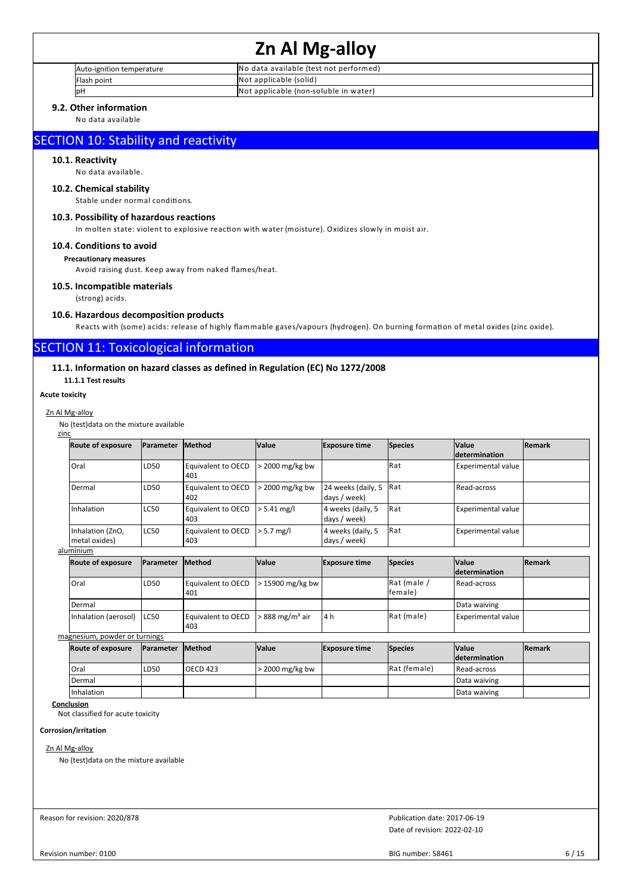| Auto-ignition temperature | No data available (test not performed) |
|---------------------------|----------------------------------------|
| Flash point               | Not applicable (solid)                 |
| p⊦                        | Not applicable (non-soluble in water)  |

# **9.2. Other information**

No data available

# SECTION 10: Stability and reactivity

# **10.1. Reactivity**

No data available.

# **10.2. Chemical stability**

Stable under normal conditions.

## **10.3. Possibility of hazardous reactions**

In molten state: violent to explosive reaction with water (moisture). Oxidizes slowly in moist air.

# **10.4. Conditions to avoid**

### **Precautionary measures**

Avoid raising dust. Keep away from naked flames/heat.

## **10.5. Incompatible materials**

(strong) acids.

#### **10.6. Hazardous decomposition products**

Reacts with (some) acids: release of highly flammable gases/vapours (hydrogen). On burning formation of metal oxides (zinc oxide).

# SECTION 11: Toxicological information

# **11.1. Information on hazard classes as defined in Regulation (EC) No 1272/2008**

**11.1.1 Test results**

#### **Acute toxicity**

#### Zn Al Mg-alloy

No (test)data on the mixture available

| zinc |                                   |                   |                                  |               |                                    |                |                                      |               |
|------|-----------------------------------|-------------------|----------------------------------|---------------|------------------------------------|----------------|--------------------------------------|---------------|
|      | <b>Route of exposure</b>          | <b>IParameter</b> | <b>Method</b>                    | <b>Value</b>  | <b>Exposure time</b>               | <b>Species</b> | <b>Value</b><br><i>determination</i> | <b>Remark</b> |
|      | Oral                              | LD <sub>50</sub>  | l Eauivalent to OECD<br>401      | 2000 mg/kg bw |                                    | lRat           | <b>Experimental value</b>            |               |
|      | Dermal                            | LD <sub>50</sub>  | <b>Equivalent to OECD</b><br>402 | 2000 mg/kg bw | 24 weeks (daily, 5<br>days / week) | <b>IRat</b>    | Read-across                          |               |
|      | Inhalation                        | LC50              | Equivalent to OECD<br>403        | l > 5.41 mg/l | 4 weeks (daily, 5<br>days / week)  | Rat            | <b>Experimental value</b>            |               |
|      | Inhalation (ZnO,<br>metal oxides) | LC50              | Equivalent to OECD<br>403        | $> 5.7$ mg/l  | 4 weeks (daily, 5<br>days / week)  | Rat            | <b>Experimental value</b>            |               |

aluminium

| <b>Route of exposure</b> | <b>IParameter</b> | <b>Method</b>                                               | <b>Value</b> | <b>Exposure time</b> | Species                   | <b>Value</b>              | <b>Remark</b> |  |
|--------------------------|-------------------|-------------------------------------------------------------|--------------|----------------------|---------------------------|---------------------------|---------------|--|
|                          |                   |                                                             |              |                      |                           | <b>determination</b>      |               |  |
| Oral                     | LD <sub>50</sub>  | Equivalent to OECD $\vert$ > 15900 mg/kg bw<br>401          |              |                      | $Rat$ (male /<br>lfemale) | Read-across               |               |  |
| Dermal                   |                   |                                                             |              |                      |                           | Data waiving              |               |  |
| Inhalation (aerosol)     | ILC50             | Equivalent to OECD $\geq$ 888 mg/m <sup>3</sup> air<br>1403 |              | 4 h                  | Rat (male)                | <b>Experimental value</b> |               |  |

magnesium, powder or turnings

| <b>Route of exposure</b> | Parameter Method |           | <b>Value</b>    | <b>Exposure time</b> | <b>Species</b> | <b>Value</b>         | <b>IRemark</b> |
|--------------------------|------------------|-----------|-----------------|----------------------|----------------|----------------------|----------------|
|                          |                  |           |                 |                      |                | <b>determination</b> |                |
| Oral                     | LD <sub>50</sub> | LOECD 423 | > 2000 mg/kg bw |                      | Rat (female)   | Read-across          |                |
| l Dermal                 |                  |           |                 |                      |                | Data waiving         |                |
| Inhalation               |                  |           |                 |                      |                | Data waiving         |                |

# **Conclusion**

Not classified for acute toxicity

#### **Corrosion/irritation**

# Zn Al Mg-allov

No (test)data on the mixture available

Reason for revision: 2020/878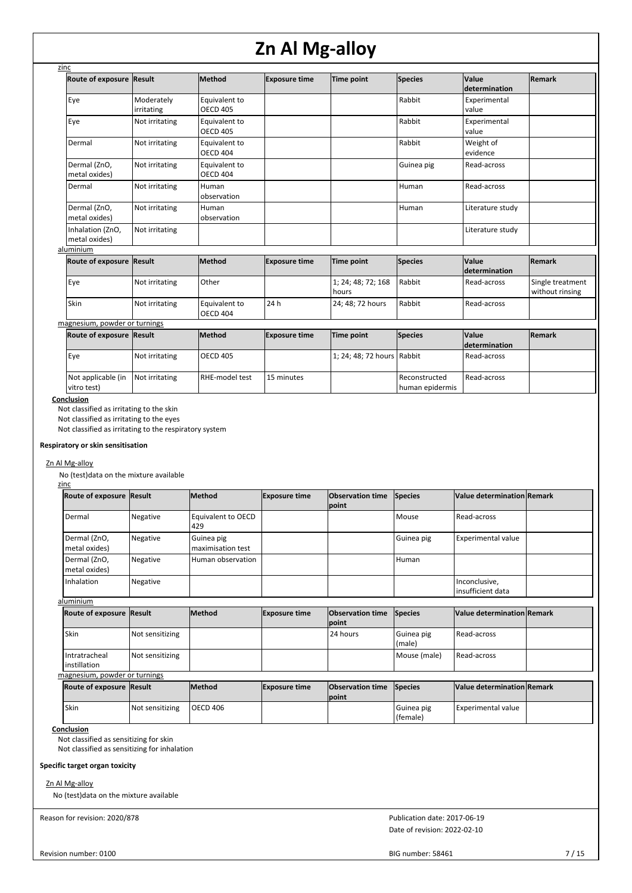| zinc                              |                          |                                  |                      |                             |                                  |                        |                                     |
|-----------------------------------|--------------------------|----------------------------------|----------------------|-----------------------------|----------------------------------|------------------------|-------------------------------------|
| <b>Route of exposure</b>          | Result                   | <b>Method</b>                    | <b>Exposure time</b> | Time point                  | <b>Species</b>                   | Value<br>determination | Remark                              |
| Eye                               | Moderately<br>irritating | Equivalent to<br><b>OECD 405</b> |                      |                             | Rabbit                           | Experimental<br>value  |                                     |
| Eye                               | Not irritating           | Equivalent to<br><b>OECD 405</b> |                      |                             | Rabbit                           | Experimental<br>value  |                                     |
| Dermal                            | Not irritating           | Equivalent to<br><b>OECD 404</b> |                      |                             | Rabbit                           | Weight of<br>evidence  |                                     |
| Dermal (ZnO,<br>metal oxides)     | Not irritating           | Equivalent to<br><b>OECD 404</b> |                      |                             | Guinea pig                       | Read-across            |                                     |
| Dermal                            | Not irritating           | Human<br>observation             |                      |                             | Human                            | Read-across            |                                     |
| Dermal (ZnO,<br>metal oxides)     | Not irritating           | Human<br>observation             |                      |                             | Human                            | Literature study       |                                     |
| Inhalation (ZnO,<br>metal oxides) | Not irritating           |                                  |                      |                             |                                  | Literature study       |                                     |
| aluminium                         |                          |                                  |                      |                             |                                  |                        |                                     |
| Route of exposure                 | Result                   | <b>Method</b>                    | <b>Exposure time</b> | Time point                  | Species                          | Value<br>determination | Remark                              |
| Eye                               | Not irritating           | Other                            |                      | 1; 24; 48; 72; 168<br>hours | Rabbit                           | Read-across            | Single treatment<br>without rinsing |
| Skin                              | Not irritating           | Equivalent to<br><b>OECD 404</b> | 24h                  | 24; 48; 72 hours            | Rabbit                           | Read-across            |                                     |
| magnesium, powder or turnings     |                          |                                  |                      |                             |                                  |                        |                                     |
| Route of exposure Result          |                          | <b>Method</b>                    | <b>Exposure time</b> | Time point                  | <b>Species</b>                   | Value<br>determination | Remark                              |
| Eye                               | Not irritating           | <b>OECD 405</b>                  |                      | 1; 24; 48; 72 hours Rabbit  |                                  | Read-across            |                                     |
| Not applicable (in<br>vitro test) | Not irritating           | RHE-model test                   | 15 minutes           |                             | Reconstructed<br>human epidermis | Read-across            |                                     |

**Conclusion**

Not classified as irritating to the skin

Not classified as irritating to the eyes

Not classified as irritating to the respiratory system

# **Respiratory or skin sensitisation**

#### Zn Al Mg-alloy

No (test)data on the mixture available zinc

| Route of exposure Result      |          | <b>Method</b>                   | <b>Exposure time</b> | <b>Observation time</b> Species<br>point |            | Value determination Remark         |  |
|-------------------------------|----------|---------------------------------|----------------------|------------------------------------------|------------|------------------------------------|--|
| Dermal                        | Negative | Equivalent to OECD<br>429،      |                      |                                          | l Mouse    | Read-across                        |  |
| Dermal (ZnO,<br>metal oxides) | Negative | Guinea pig<br>maximisation test |                      |                                          | Guinea pig | <b>Experimental value</b>          |  |
| Dermal (ZnO,<br>metal oxides) | Negative | Human observation               |                      |                                          | Human      |                                    |  |
| Inhalation                    | Negative |                                 |                      |                                          |            | Inconclusive,<br>insufficient data |  |

## aluminium

| Route of exposure Result              |                 | lMethod | <b>Exposure time</b> | <b>Observation time</b> Species<br><b>lpoint</b> |                       | Value determination Remark |  |
|---------------------------------------|-----------------|---------|----------------------|--------------------------------------------------|-----------------------|----------------------------|--|
| Skin                                  | Not sensitizing |         |                      | 24 hours                                         | Guinea pig<br>l(male) | Read-across                |  |
| Intratracheal<br><b>linstillation</b> | Not sensitizing |         |                      |                                                  | Mouse (male)          | Read-across                |  |
| magnesium, powder or turnings         |                 |         |                      |                                                  |                       |                            |  |

| <b>Route of exposure Result</b> |                 | <b>Method</b> | <b>Exposure time</b> | <b>Observation time Species</b><br>Ipoint |                            | Value determination Remark |  |
|---------------------------------|-----------------|---------------|----------------------|-------------------------------------------|----------------------------|----------------------------|--|
| Skin                            | Not sensitizing | OECD 406      |                      |                                           | I Guinea pig<br>l (female) | <b>Experimental value</b>  |  |

#### **Conclusion**

Not classified as sensitizing for skin

Not classified as sensitizing for inhalation

# **Specific target organ toxicity**

Zn Al Mg-alloy

No (test)data on the mixture available

Reason for revision: 2020/878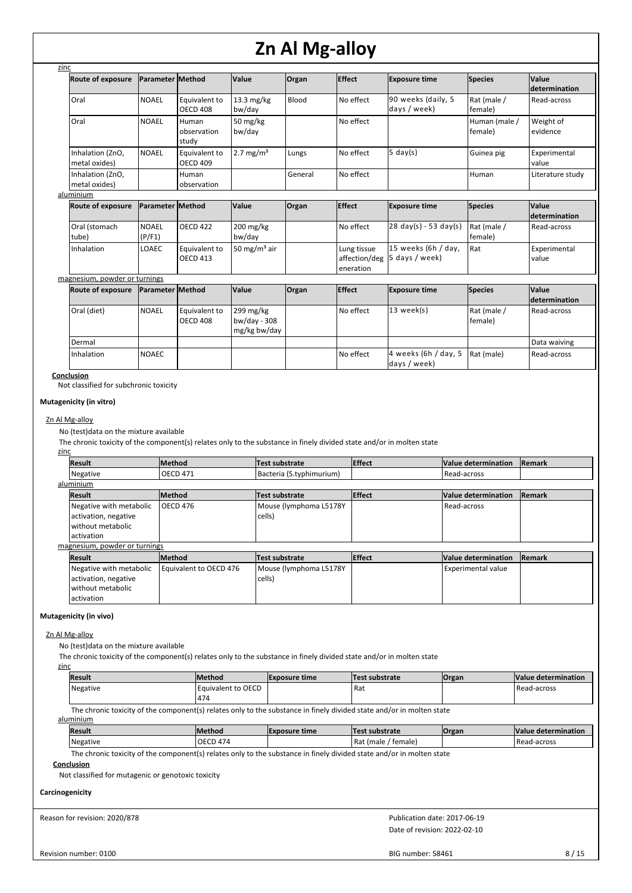| zinc                              |                         |                                  |                                           |         |                                           |                                         |                          |                               |
|-----------------------------------|-------------------------|----------------------------------|-------------------------------------------|---------|-------------------------------------------|-----------------------------------------|--------------------------|-------------------------------|
| <b>Route of exposure</b>          | Parameter Method        |                                  | <b>Value</b>                              | Organ   | <b>Effect</b>                             | <b>Exposure time</b>                    | Species                  | Value<br><b>determination</b> |
| Oral                              | <b>NOAEL</b>            | Equivalent to<br><b>OECD 408</b> | $13.3 \text{ mg/kg}$<br>bw/day            | Blood   | No effect                                 | 90 weeks (daily, 5<br>days / week)      | Rat (male /<br>female)   | Read-across                   |
| Oral                              | <b>NOAEL</b>            | Human<br>observation<br>study    | 50 mg/kg<br>bw/day                        |         | No effect                                 |                                         | Human (male /<br>female) | Weight of<br>evidence         |
| Inhalation (ZnO,<br>metal oxides) | <b>NOAEL</b>            | Equivalent to<br><b>OECD 409</b> | $2.7 \text{ mg/m}^3$                      | Lungs   | No effect                                 | $5 \text{ day}(s)$                      | Guinea pig               | Experimental<br>value         |
| Inhalation (ZnO,<br>metal oxides) |                         | Human<br>observation             |                                           | General | No effect                                 |                                         | Human                    | Literature study              |
| aluminium                         |                         |                                  |                                           |         |                                           |                                         |                          |                               |
| <b>Route of exposure</b>          | Parameter Method        |                                  | <b>Value</b>                              | Organ   | <b>Effect</b>                             | <b>Exposure time</b>                    | <b>Species</b>           | Value<br>determination        |
| Oral (stomach<br>tube)            | <b>NOAEL</b><br>(P/F1)  | <b>OECD 422</b>                  | 200 mg/kg<br>bw/day                       |         | No effect                                 | $28 \text{ day(s)} - 53 \text{ day(s)}$ | Rat (male /<br>female)   | Read-across                   |
| Inhalation                        | LOAEC                   | Equivalent to<br><b>OECD 413</b> | 50 mg/m <sup>3</sup> air                  |         | Lung tissue<br>affection/deg<br>eneration | 15 weeks (6h / day,<br>5 days / week)   | Rat                      | Experimental<br>value         |
| magnesium, powder or turnings     |                         |                                  |                                           |         |                                           |                                         |                          |                               |
| <b>Route of exposure</b>          | <b>Parameter Method</b> |                                  | Value                                     | Organ   | <b>Effect</b>                             | <b>Exposure time</b>                    | <b>Species</b>           | Value<br>determination        |
| Oral (diet)                       | <b>NOAEL</b>            | Equivalent to<br><b>OECD 408</b> | 299 mg/kg<br>bw/day - 308<br>mg/kg bw/day |         | No effect                                 | 13 week(s)                              | Rat (male /<br>female)   | Read-across                   |
| Dermal                            |                         |                                  |                                           |         |                                           |                                         |                          | Data waiving                  |
| Inhalation                        | <b>NOAEC</b>            |                                  |                                           |         | No effect                                 | 4 weeks (6h / day, 5<br>days / week)    | Rat (male)               | Read-across                   |

#### **Conclusion**

Not classified for subchronic toxicity

## **Mutagenicity (in vitro)**

#### Zn Al Mg-alloy

No (test)data on the mixture available

The chronic toxicity of the component(s) relates only to the substance in finely divided state and/or in molten state

#### zinc

| <b>Result</b>                 | <b>Method</b>          | Test substrate           | <b>Effect</b> | Value determination       | Remark |
|-------------------------------|------------------------|--------------------------|---------------|---------------------------|--------|
| Negative                      | <b>OECD 471</b>        | Bacteria (S.typhimurium) |               | Read-across               |        |
| aluminium                     |                        |                          |               |                           |        |
| <b>Result</b>                 | <b>Method</b>          | Test substrate           | <b>Effect</b> | Value determination       | Remark |
| Negative with metabolic       | <b>OECD 476</b>        | Mouse (lymphoma L5178Y   |               | Read-across               |        |
| activation, negative          |                        | cells)                   |               |                           |        |
| without metabolic             |                        |                          |               |                           |        |
| activation                    |                        |                          |               |                           |        |
| magnesium, powder or turnings |                        |                          |               |                           |        |
| <b>Result</b>                 | <b>Method</b>          | Test substrate           | <b>Effect</b> | Value determination       | Remark |
| Negative with metabolic       | Equivalent to OECD 476 | Mouse (lymphoma L5178Y   |               | <b>Experimental value</b> |        |
| activation, negative          |                        | cells)                   |               |                           |        |
| without metabolic             |                        |                          |               |                           |        |
| activation                    |                        |                          |               |                           |        |

### **Mutagenicity (in vivo)**

#### Zn Al Mg-alloy

No (test)data on the mixture available

The chronic toxicity of the component(s) relates only to the substance in finely divided state and/or in molten state

| Result                                                                                                                | <b>Method</b>             | <b>Exposure time</b> | Test substrate | <b>Organ</b> | Value determination |  |  |  |
|-----------------------------------------------------------------------------------------------------------------------|---------------------------|----------------------|----------------|--------------|---------------------|--|--|--|
| Negative                                                                                                              | Equivalent to OECD<br>474 |                      | Rat            |              | Read-across         |  |  |  |
| The chronic toxicity of the component(s) relates only to the substance in finely divided state and/or in molten state |                           |                      |                |              |                     |  |  |  |

aluminium

| <b>Result</b> | <b>IMethod</b> | <b>IExposure time</b> | <b>Test</b><br>t substrate      | <b>Organ</b> | <b>Value determination</b> |
|---------------|----------------|-----------------------|---------------------------------|--------------|----------------------------|
| Negative      | OECD 474       |                       | 'Raı<br>temale)<br><i>(male</i> |              | Read-across                |

The chronic toxicity of the component(s) relates only to the substance in finely divided state and/or in molten state

## **Conclusion**

Not classified for mutagenic or genotoxic toxicity

### **Carcinogenicity**

Reason for revision: 2020/878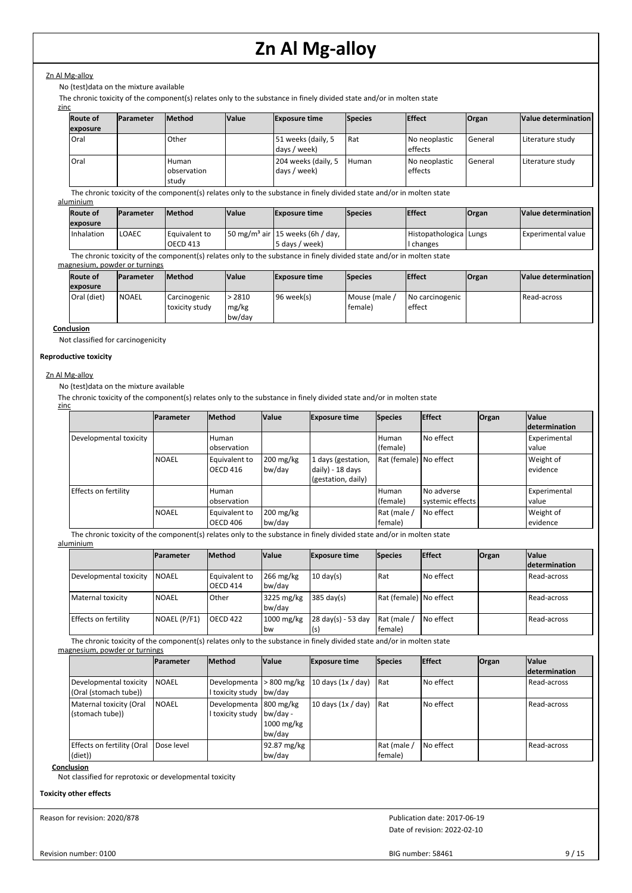# Zn Al Mg-alloy

No (test)data on the mixture available

The chronic toxicity of the component(s) relates only to the substance in finely divided state and/or in molten state

| zinc |                 |                  |                               |              |                                     |                |                          |              |                     |
|------|-----------------|------------------|-------------------------------|--------------|-------------------------------------|----------------|--------------------------|--------------|---------------------|
|      | <b>Route of</b> | <b>Parameter</b> | <b>Method</b>                 | <b>Value</b> | <b>Exposure time</b>                | <b>Species</b> | <b>Effect</b>            | <b>Organ</b> | Value determination |
|      | exposure        |                  |                               |              |                                     |                |                          |              |                     |
|      | Oral            |                  | Other                         |              | 51 weeks (daily, 5<br>days / week)  | l Rat          | No neoplastic<br>effects | General      | Literature study    |
|      | Oral            |                  | Human<br>observation<br>study |              | 204 weeks (daily, 5<br>days / week) | Human          | No neoplastic<br>effects | General      | Literature study    |

The chronic toxicity of the component(s) relates only to the substance in finely divided state and/or in molten state

# aluminium

| <b>Route of</b><br>exposure |                   | <b>IParameter</b> | <b>IMethod</b><br><b>Value</b>     |  | <b>Exposure time</b><br><b>Species</b>                         |  | <b>Effect</b>                     | Organ | Value determination  |
|-----------------------------|-------------------|-------------------|------------------------------------|--|----------------------------------------------------------------|--|-----------------------------------|-------|----------------------|
|                             | <b>Inhalation</b> | LOAEC             | l Equivalent to<br><b>OECD 413</b> |  | $150 \text{ mg/m}^3$ air 15 weeks (6h / day,<br>5 days / week) |  | Histopathologica Lungs<br>changes |       | l Experimental value |

The chronic toxicity of the component(s) relates only to the substance in finely divided state and/or in molten state

#### magnesium, powder or turnings

| <b>Route of</b> | <b>Parameter</b> | <b>Method</b>                  | <b>Value</b>              | <b>Exposure time</b> | <b>Species</b>           | <b>Effect</b>             | Organ | Value determination |  |
|-----------------|------------------|--------------------------------|---------------------------|----------------------|--------------------------|---------------------------|-------|---------------------|--|
| exposure        |                  |                                |                           |                      |                          |                           |       |                     |  |
| Oral (diet)     | <b>NOAEL</b>     | Carcinogenic<br>toxicity study | > 2810<br>mg/kg<br>bw/day | 96 week(s)           | I Mouse (male<br>female) | No carcinogenic<br>effect |       | Read-across         |  |

#### **Conclusion**

Not classified for carcinogenicity

## **Reproductive toxicity**

## Zn Al Mg-alloy

No (test)data on the mixture available

The chronic toxicity of the component(s) relates only to the substance in finely divided state and/or in molten state zinc

|                        | <b>IParameter</b> | <b>Method</b>             | <b>Value</b>          | <b>Exposure time</b>                                         | <b>Species</b>         | <b>Effect</b>                  | Organ | <b>Value</b><br><b>Idetermination</b> |
|------------------------|-------------------|---------------------------|-----------------------|--------------------------------------------------------------|------------------------|--------------------------------|-------|---------------------------------------|
| Developmental toxicity |                   | Human<br>observation      |                       |                                                              | Human<br>(female)      | No effect                      |       | Experimental<br>value                 |
|                        | <b>NOAEL</b>      | Equivalent to<br>OECD 416 | $200$ mg/kg<br>bw/day | 1 days (gestation,<br>daily) - 18 days<br>(gestation, daily) | Rat (female) No effect |                                |       | Weight of<br>evidence                 |
| Effects on fertility   |                   | Human<br>observation      |                       |                                                              | l Human<br>(female)    | No adverse<br>systemic effects |       | Experimental<br>value                 |
|                        | <b>NOAEL</b>      | Equivalent to<br>OECD 406 | $200$ mg/kg<br>bw/day |                                                              | Rat (male /<br>female) | l No effect                    |       | Weight of<br>evidence                 |

The chronic toxicity of the component(s) relates only to the substance in finely divided state and/or in molten state aluminium

|                        | <b>IParameter</b> | <b>Method</b>                    | <b>Value</b>              | <b>Exposure time</b>     | <b>Species</b>           | <b>Effect</b> | <b>Organ</b> | <b>Value</b>         |
|------------------------|-------------------|----------------------------------|---------------------------|--------------------------|--------------------------|---------------|--------------|----------------------|
|                        |                   |                                  |                           |                          |                          |               |              | <b>determination</b> |
| Developmental toxicity | <b>NOAEL</b>      | Equivalent to<br><b>OECD 414</b> | $266$ mg/kg<br>bw/day     | $10 \text{ day(s)}$      | Rat                      | l No effect   |              | Read-across          |
| Maternal toxicity      | <b>NOAEL</b>      | Other                            | 3225 mg/kg<br>bw/day      | $385 \text{ day(s)}$     | Rat (female)   No effect |               |              | l Read-across        |
| Effects on fertility   | NOAEL (P/F1)      | <b>OECD 422</b>                  | $1000$ mg/kg<br><b>bw</b> | 28 day(s) - 53 day<br>(s | Rat (male /<br>female)   | I No effect   |              | Read-across          |

The chronic toxicity of the component(s) relates only to the substance in finely divided state and/or in molten state

magnesium, powder or turnings

|                                                 | <b>Parameter</b> | <b>Method</b>                              | <b>Value</b>                       | <b>Exposure time</b> | <b>Species</b>         | <b>Effect</b> | Organ | <b>Value</b><br><b>determination</b> |
|-------------------------------------------------|------------------|--------------------------------------------|------------------------------------|----------------------|------------------------|---------------|-------|--------------------------------------|
| Developmental toxicity<br>(Oral (stomach tube)) | <b>NOAEL</b>     | Developmenta<br>I toxicity study bw/day    | $>800$ mg/kg                       | 10 days $(1x / day)$ | <b>Rat</b>             | l No effect   |       | Read-across                          |
| Maternal toxicity (Oral<br>(stomach tube))      | <b>NOAEL</b>     | Developmenta 800 mg/kg<br>I toxicity study | bw/day -<br>$1000$ mg/kg<br>bw/day | 10 days $(1x / day)$ | <b>Rat</b>             | No effect     |       | Read-across                          |
| Effects on fertility (Oral<br>(diet))           | Dose level       |                                            | 92.87 mg/kg<br>bw/day              |                      | Rat (male /<br>female) | l No effect   |       | Read-across                          |

**Conclusion**

Not classified for reprotoxic or developmental toxicity

### **Toxicity other effects**

Reason for revision: 2020/878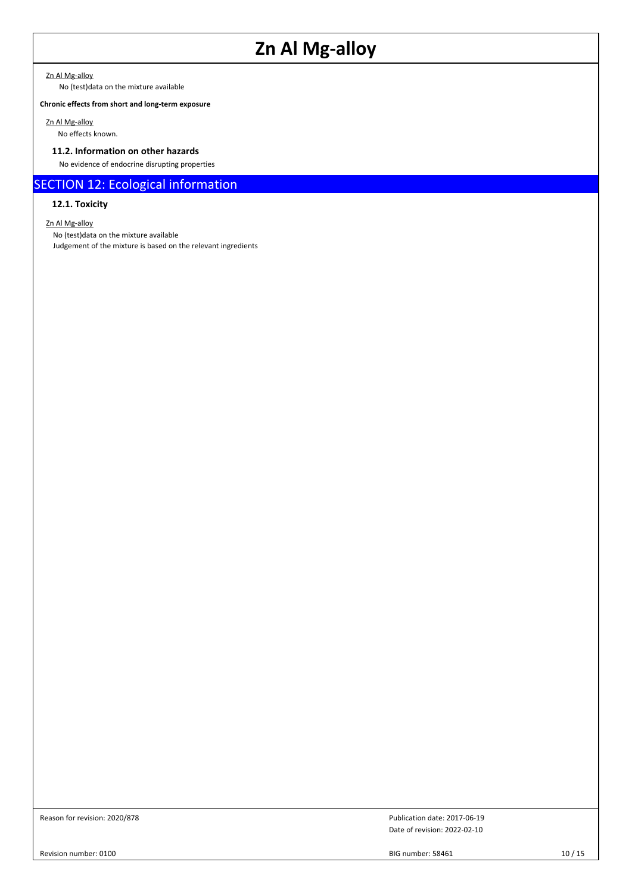Zn Al Mg-alloy

No (test)data on the mixture available

# **Chronic effects from short and long-term exposure**

Zn Al Mg-alloy

# No effects known.

# **11.2. Information on other hazards**

No evidence of endocrine disrupting properties

# SECTION 12: Ecological information

# **12.1. Toxicity**

Zn Al Mg-alloy

No (test)data on the mixture available Judgement of the mixture is based on the relevant ingredients

Reason for revision: 2020/878

Date of revision: 2022-02-10 Publication date: 2017-06-19

Revision number: 0100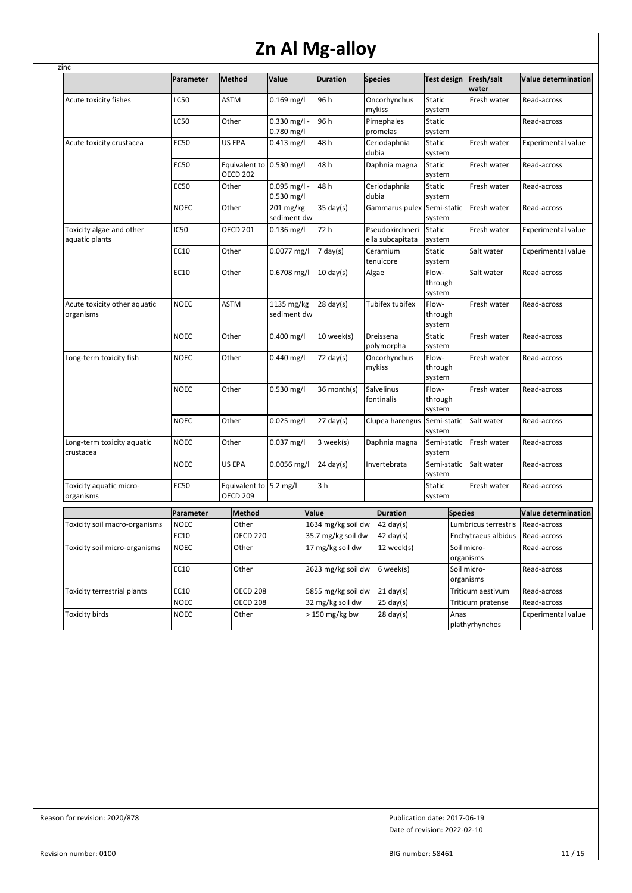| zinc                                       |             |                                             |                                |                              |                                     |                            |                          |                            |
|--------------------------------------------|-------------|---------------------------------------------|--------------------------------|------------------------------|-------------------------------------|----------------------------|--------------------------|----------------------------|
|                                            | Parameter   | Method                                      | Value                          | <b>Duration</b>              | <b>Species</b>                      | Test design                | Fresh/salt<br>water      | <b>Value determination</b> |
| Acute toxicity fishes                      | LC50        | <b>ASTM</b>                                 | $0.169$ mg/l                   | 96 h                         | Oncorhynchus<br>mykiss              | Static<br>system           | Fresh water              | Read-across                |
|                                            | <b>LC50</b> | Other                                       | $0.330$ mg/l -<br>0.780 mg/l   | 96 h                         | Pimephales<br>promelas              | Static<br>system           |                          | Read-across                |
| Acute toxicity crustacea                   | <b>EC50</b> | US EPA                                      | $0.413$ mg/l                   | 48 h                         | Ceriodaphnia<br>dubia               | Static<br>system           | Fresh water              | Experimental value         |
|                                            | <b>EC50</b> | Equivalent to 0.530 mg/l<br><b>OECD 202</b> |                                | 48 h                         | Daphnia magna                       | Static<br>system           | Fresh water              | Read-across                |
|                                            | EC50        | Other                                       | $0.095$ mg/l -<br>$0.530$ mg/l | 48 h                         | Ceriodaphnia<br>dubia               | Static<br>system           | Fresh water              | Read-across                |
|                                            | NOEC        | Other                                       | 201 mg/kg<br>sediment dw       | $35 \text{ day}(s)$          | Gammarus pulex                      | Semi-static<br>system      | Fresh water              | Read-across                |
| Toxicity algae and other<br>aquatic plants | IC50        | <b>OECD 201</b>                             | $0.136$ mg/l                   | 72 h                         | Pseudokirchneri<br>ella subcapitata | Static<br>system           | Fresh water              | <b>Experimental value</b>  |
|                                            | EC10        | Other                                       | 0.0077 mg/l                    | $7$ day(s)                   | Ceramium<br>tenuicore               | Static<br>system           | Salt water               | <b>Experimental value</b>  |
|                                            | EC10        | Other                                       | $0.6708$ mg/l                  | $10 \text{ day}(s)$<br>Algae |                                     | Flow-<br>through<br>system | Salt water               | Read-across                |
| Acute toxicity other aquatic<br>organisms  | NOEC        | <b>ASTM</b>                                 | 1135 mg/kg<br>sediment dw      | $28 \text{ day(s)}$          | <b>Tubifex tubifex</b>              | Flow-<br>through<br>system | Fresh water              | Read-across                |
|                                            | NOEC        | Other                                       | $0.400$ mg/l                   | 10 week(s)                   | Dreissena<br>polymorpha             | Static<br>system           | Fresh water              | Read-across                |
| Long-term toxicity fish                    | NOEC        | Other                                       | 0.440 mg/l                     | $72 \text{ day}(s)$          | Oncorhynchus<br>mykiss              | Flow-<br>through<br>system | Fresh water              | Read-across                |
|                                            | NOEC        | Other                                       | 0.530 mg/l                     | 36 month(s)                  | Salvelinus<br>fontinalis            | Flow-<br>through<br>system | Fresh water              | Read-across                |
|                                            | NOEC        | Other                                       | $0.025$ mg/l                   | $27 \text{ day}(s)$          | Clupea harengus                     | Semi-static<br>system      | Salt water               | Read-across                |
| Long-term toxicity aquatic<br>crustacea    | NOEC        | Other                                       | $0.037$ mg/l                   | 3 week(s)                    | Daphnia magna                       | Semi-static<br>system      | Fresh water              | Read-across                |
|                                            | NOEC        | US EPA                                      | $0.0056$ mg/l                  | $24 \text{ day}(s)$          | Invertebrata                        | Semi-static<br>system      | Salt water               | Read-across                |
| Toxicity aquatic micro-<br>organisms       | <b>EC50</b> | Equivalent to 5.2 mg/l<br><b>OECD 209</b>   |                                | 3 h                          |                                     | Static<br>system           | Fresh water              | Read-across                |
|                                            | Parameter   | Method                                      |                                | Value                        | <b>Duration</b>                     |                            | <b>Species</b>           | <b>Value determination</b> |
| Toxicity soil macro-organisms              | <b>NOEC</b> | Other                                       |                                | 1634 mg/kg soil dw           | 42 day $(s)$                        |                            | Lumbricus terrestris     | Read-across                |
|                                            | EC10        | <b>OECD 220</b>                             |                                | 35.7 mg/kg soil dw           | $42 \text{ day(s)}$                 |                            | Enchytraeus albidus      | Read-across                |
| Toxicity soil micro-organisms              | NOEC        | Other                                       |                                | 17 mg/kg soil dw             | 12 week(s)                          |                            | Soil micro-<br>organisms | Read-across                |
|                                            | EC10        | Other                                       |                                | 2623 mg/kg soil dw           | 6 week(s)                           |                            | Soil micro-<br>organisms | Read-across                |
| Toxicity terrestrial plants                | EC10        | <b>OECD 208</b>                             |                                | 5855 mg/kg soil dw           | $21$ day(s)                         |                            | Triticum aestivum        | Read-across                |
|                                            | <b>NOEC</b> | <b>OECD 208</b>                             |                                | 32 mg/kg soil dw             | $25 \text{ day}(s)$                 |                            | Triticum pratense        | Read-across                |
| <b>Toxicity birds</b>                      | NOEC        | Other                                       |                                | $> 150$ mg/kg bw             | $28 \text{ day}(s)$                 |                            | Anas<br>plathyrhynchos   | Experimental value         |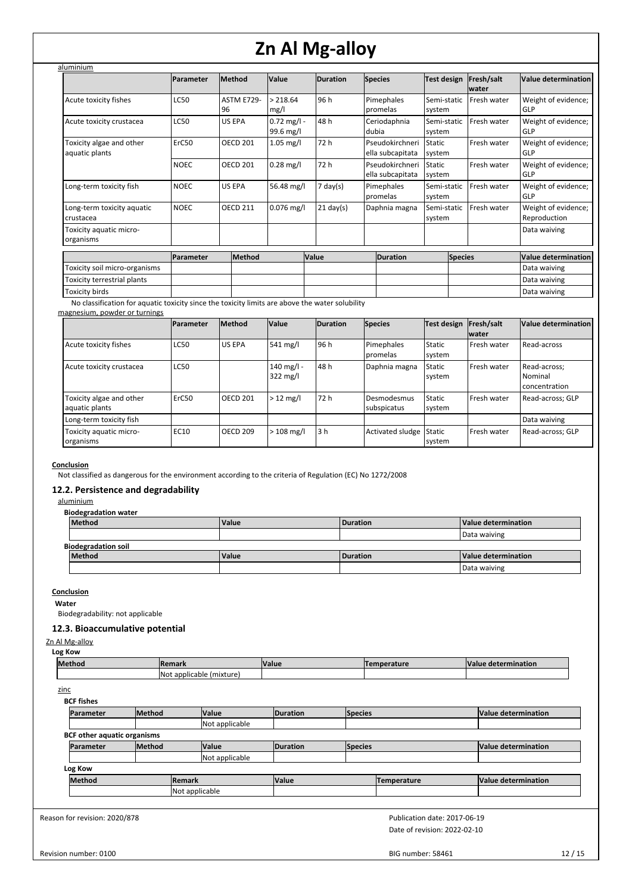| aluminium                                  |             |                         |                            |                     |                                     |                       |                     |                                     |
|--------------------------------------------|-------------|-------------------------|----------------------------|---------------------|-------------------------------------|-----------------------|---------------------|-------------------------------------|
|                                            | Parameter   | Method                  | Value                      | <b>Duration</b>     | <b>Species</b>                      | <b>Test design</b>    | Fresh/salt<br>water | Value determination                 |
| Acute toxicity fishes                      | LC50        | <b>ASTM E729-</b><br>96 | > 218.64<br>mg/l           | 96 h                | Pimephales<br>promelas              | Semi-static<br>system | Fresh water         | Weight of evidence;<br>GLP          |
| Acute toxicity crustacea                   | LC50        | <b>US EPA</b>           | $0.72$ mg/l -<br>99.6 mg/l | 48 h                | Ceriodaphnia<br>dubia               | Semi-static<br>system | Fresh water         | Weight of evidence;<br>GLP          |
| Toxicity algae and other<br>aquatic plants | ErC50       | <b>OECD 201</b>         | $1.05$ mg/l                | 72 h                | Pseudokirchneri<br>ella subcapitata | Static<br>system      | Fresh water         | Weight of evidence;<br>GLP          |
|                                            | <b>NOEC</b> | <b>OECD 201</b>         | $0.28$ mg/l                | 72 h                | Pseudokirchneri<br>ella subcapitata | Static<br>system      | Fresh water         | Weight of evidence;<br>GLP          |
| Long-term toxicity fish                    | <b>NOEC</b> | <b>US EPA</b>           | 56.48 mg/l                 | $7 \text{ day}(s)$  | Pimephales<br>promelas              | Semi-static<br>system | Fresh water         | Weight of evidence;<br>GLP          |
| Long-term toxicity aquatic<br>crustacea    | <b>NOEC</b> | <b>OECD 211</b>         | $0.076$ mg/l               | $21 \text{ day}(s)$ | Daphnia magna                       | Semi-static<br>system | Fresh water         | Weight of evidence;<br>Reproduction |
| Toxicity aquatic micro-<br>organisms       |             |                         |                            |                     |                                     |                       |                     | Data waiving                        |
|                                            | Parameter   | Method                  |                            | <b>Value</b>        | <b>Duration</b>                     | <b>Species</b>        |                     | <b>Value determination</b>          |
| Toxicity soil micro-organisms              |             |                         |                            |                     |                                     |                       |                     | Data waiving                        |
| Toxicity terrestrial plants                |             |                         |                            |                     |                                     |                       |                     | Data waiving                        |
| Toxicity birds                             |             |                         |                            |                     |                                     |                       |                     | Data waiving                        |

No classification for aquatic toxicity since the toxicity limits are above the water solubility

## magnesium, powder or turnings

|                                            | Parameter   | <b>Method</b>   | Value                            | <b>Duration</b> | <b>Species</b>             | Test design             | Fresh/salt<br><b>water</b> | Value determination                      |
|--------------------------------------------|-------------|-----------------|----------------------------------|-----------------|----------------------------|-------------------------|----------------------------|------------------------------------------|
| Acute toxicity fishes                      | <b>LC50</b> | <b>US EPA</b>   | $541 \text{ mg/l}$               | 96 h            | Pimephales<br>promelas     | Static<br>system        | Fresh water                | Read-across                              |
| Acute toxicity crustacea                   | <b>LC50</b> |                 | 140 mg/l -<br>$322 \text{ mg/l}$ | 48 h            | Daphnia magna              | <b>Static</b><br>system | Fresh water                | Read-across;<br>Nominal<br>concentration |
| Toxicity algae and other<br>aquatic plants | ErC50       | <b>OECD 201</b> | $>12$ mg/l                       | 72 h            | Desmodesmus<br>subspicatus | <b>Static</b><br>system | Fresh water                | Read-across: GLP                         |
| Long-term toxicity fish                    |             |                 |                                  |                 |                            |                         |                            | Data waiving                             |
| Toxicity aquatic micro-<br>organisms       | <b>EC10</b> | <b>OECD 209</b> | $>108$ mg/l                      | l 3 h           | Activated sludge Static    | system                  | Fresh water                | Read-across; GLP                         |

# **Conclusion**

Not classified as dangerous for the environment according to the criteria of Regulation (EC) No 1272/2008

# **12.2. Persistence and degradability**

aluminium

| <b>Biodegradation water</b> |              |          |                     |
|-----------------------------|--------------|----------|---------------------|
| <b>Method</b>               | Value        | Duration | Value determination |
|                             |              |          | Data waiving        |
| <b>Biodegradation soil</b>  |              |          |                     |
| <b>Method</b>               | <b>Value</b> | Duration | Value determination |
|                             |              |          | Data waiving        |

### **Conclusion**

**Water**

Biodegradability: not applicable

# **12.3. Bioaccumulative potential**

Zn Al Mg-alloy **Log Kow**

| . .    |                                   |      |            |                |  |  |  |  |
|--------|-----------------------------------|------|------------|----------------|--|--|--|--|
| Method | <b>IRemark</b>                    | Valu | --<br>turo | M<br>rmination |  |  |  |  |
|        | INot<br>(mixture,<br>t applicable |      |            |                |  |  |  |  |

zinc

| <b>BCF fishes</b>                  |               |                |                |                 |         |             |                     |  |
|------------------------------------|---------------|----------------|----------------|-----------------|---------|-------------|---------------------|--|
| Parameter                          | <b>Method</b> |                | <b>Value</b>   | <b>Duration</b> | Species |             | Value determination |  |
|                                    |               |                | Not applicable |                 |         |             |                     |  |
| <b>BCF other aquatic organisms</b> |               |                |                |                 |         |             |                     |  |
| <b>Parameter</b>                   | <b>Method</b> |                | <b>Value</b>   | <b>Duration</b> | Species |             | Value determination |  |
|                                    |               |                | Not applicable |                 |         |             |                     |  |
| Log Kow                            |               |                |                |                 |         |             |                     |  |
| <b>Method</b>                      |               | <b>Remark</b>  |                | Value           |         | Temperature | Value determination |  |
|                                    |               | Not applicable |                |                 |         |             |                     |  |
|                                    |               |                |                |                 |         |             |                     |  |

Reason for revision: 2020/878

Date of revision: 2022-02-10 Publication date: 2017-06-19

Revision number: 0100

BIG number: 58461 12 / 15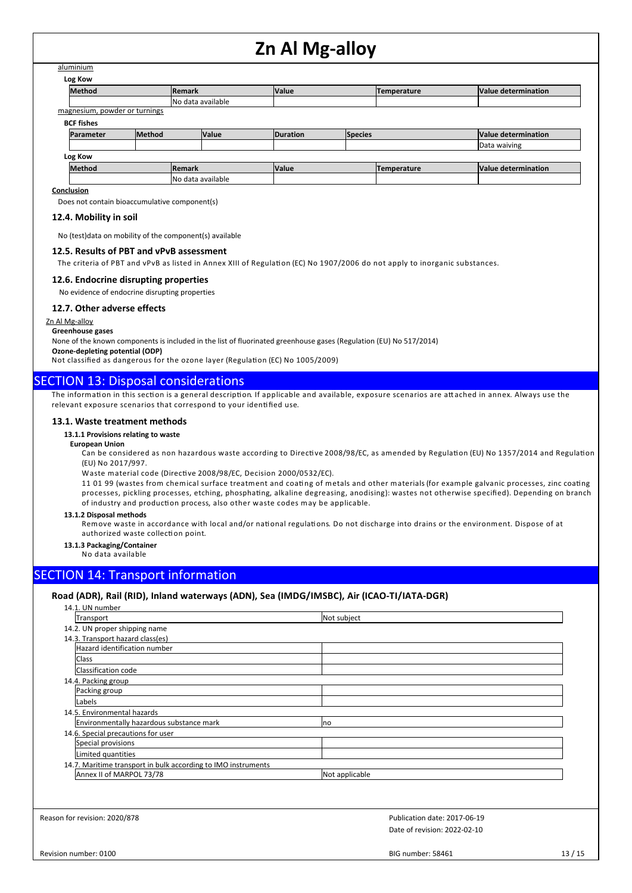# aluminium

| Log Kow                       |               |                   |              |                 |         |             |                     |  |  |
|-------------------------------|---------------|-------------------|--------------|-----------------|---------|-------------|---------------------|--|--|
| <b>Method</b>                 |               | Remark            |              | <b>Value</b>    |         | Temperature | Value determination |  |  |
|                               |               | No data available |              |                 |         |             |                     |  |  |
| magnesium, powder or turnings |               |                   |              |                 |         |             |                     |  |  |
| <b>BCF fishes</b>             |               |                   |              |                 |         |             |                     |  |  |
| Parameter                     | <b>Method</b> |                   | <b>Value</b> | <b>Duration</b> | Species |             | Value determination |  |  |
|                               |               |                   |              |                 |         |             | Data waiving        |  |  |
| Log Kow                       |               |                   |              |                 |         |             |                     |  |  |
| <b>Method</b>                 |               | Remark            |              | <b>Value</b>    |         | Temperature | Value determination |  |  |
|                               |               | No data available |              |                 |         |             |                     |  |  |

## **Conclusion**

Does not contain bioaccumulative component(s)

### **12.4. Mobility in soil**

No (test)data on mobility of the component(s) available

## **12.5. Results of PBT and vPvB assessment**

The criteria of PBT and vPvB as listed in Annex XIII of Regulation (EC) No 1907/2006 do not apply to inorganic substances.

#### **12.6. Endocrine disrupting properties**

No evidence of endocrine disrupting properties

#### **12.7. Other adverse effects**

Zn Al Mg-alloy

#### **Greenhouse gases**

None of the known components is included in the list of fluorinated greenhouse gases (Regulation (EU) No 517/2014)

**Ozone-depleting potential (ODP)**

Not classified as dangerous for the ozone layer (Regulation (EC) No 1005/2009)

# SECTION 13: Disposal considerations

The information in this section is a general description. If applicable and available, exposure scenarios are attached in annex. Always use the relevant exposure scenarios that correspond to your identified use.

#### **13.1. Waste treatment methods**

## **13.1.1 Provisions relating to waste**

**European Union**

Can be considered as non hazardous waste according to Directive 2008/98/EC, as amended by Regulation (EU) No 1357/2014 and Regulation (EU) No 2017/997.

Waste material code (Directive 2008/98/EC, Decision 2000/0532/EC).

11 01 99 (wastes from chemical surface treatment and coating of metals and other materials (for example galvanic processes, zinc coating processes, pickling processes, etching, phosphating, alkaline degreasing, anodising): wastes not otherwise specified). Depending on branch of industry and production process, also other waste codes may be applicable.

## **13.1.2 Disposal methods**

Remove waste in accordance with local and/or national regulations. Do not discharge into drains or the environment. Dispose of at authorized waste collection point.

# **13.1.3 Packaging/Container**

No data available

# SECTION 14: Transport information

# **Road (ADR), Rail (RID), Inland waterways (ADN), Sea (IMDG/IMSBC), Air (ICAO-TI/IATA-DGR)**

| Transport                                                     | Not subject                  |
|---------------------------------------------------------------|------------------------------|
| 14.2. UN proper shipping name                                 |                              |
| 14.3. Transport hazard class(es)                              |                              |
| Hazard identification number                                  |                              |
| <b>Class</b>                                                  |                              |
| Classification code                                           |                              |
| 14.4. Packing group                                           |                              |
| Packing group                                                 |                              |
| Labels                                                        |                              |
| 14.5. Environmental hazards                                   |                              |
| Environmentally hazardous substance mark                      | <b>no</b>                    |
| 14.6. Special precautions for user                            |                              |
| Special provisions                                            |                              |
| Limited quantities                                            |                              |
| 14.7. Maritime transport in bulk according to IMO instruments |                              |
| Annex II of MARPOL 73/78                                      | Not applicable               |
|                                                               |                              |
|                                                               |                              |
| Reason for revision: 2020/878                                 | Publication date: 2017-06-19 |
|                                                               | Date of revision: 2022-02-10 |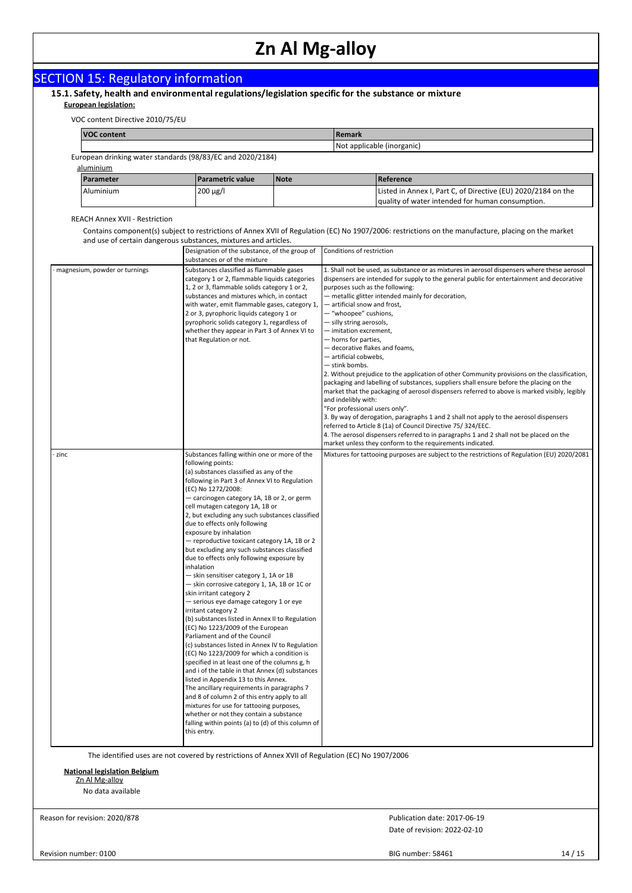| <b>SECTION 15: Regulatory information</b> |  |  |
|-------------------------------------------|--|--|
|                                           |  |  |

# **15.1. Safety, health and environmental regulations/legislation specific for the substance or mixture European legislation:**

| VOC content Directive 2010/75/EU |  |  |
|----------------------------------|--|--|

| <b>VOC content</b>                                         |  |  | l Remark                   |                                                                                                                   |  |  |  |  |  |
|------------------------------------------------------------|--|--|----------------------------|-------------------------------------------------------------------------------------------------------------------|--|--|--|--|--|
|                                                            |  |  | Not applicable (inorganic) |                                                                                                                   |  |  |  |  |  |
| European drinking water standards (98/83/EC and 2020/2184) |  |  |                            |                                                                                                                   |  |  |  |  |  |
| aluminium                                                  |  |  |                            |                                                                                                                   |  |  |  |  |  |
| <b>Parametric value</b><br>Parameter<br><b>Note</b>        |  |  |                            | Reference                                                                                                         |  |  |  |  |  |
| 200 µg/l<br>Aluminium                                      |  |  |                            | Listed in Annex I, Part C, of Directive (EU) 2020/2184 on the<br>quality of water intended for human consumption. |  |  |  |  |  |

REACH Annex XVII - Restriction

Contains component(s) subject to restrictions of Annex XVII of Regulation (EC) No 1907/2006: restrictions on the manufacture, placing on the market and use of certain dangerous substances, mixtures and articles.

|                               | Designation of the substance, of the group of<br>substances or of the mixture                                                                                                                                                                                                                                                                                                                                                                                                                                                                                                                                                                                                                                                                                                                                                                                                                                                                                                                                                                                                                                                                                                                                                                                                                                                                                        | Conditions of restriction                                                                                                                                                                                                                                                                                                                                                                                                                                                                                                                                                                                                                                                                                                                                                                                                                                                                                                                                                                                                                                                                                                                                                |
|-------------------------------|----------------------------------------------------------------------------------------------------------------------------------------------------------------------------------------------------------------------------------------------------------------------------------------------------------------------------------------------------------------------------------------------------------------------------------------------------------------------------------------------------------------------------------------------------------------------------------------------------------------------------------------------------------------------------------------------------------------------------------------------------------------------------------------------------------------------------------------------------------------------------------------------------------------------------------------------------------------------------------------------------------------------------------------------------------------------------------------------------------------------------------------------------------------------------------------------------------------------------------------------------------------------------------------------------------------------------------------------------------------------|--------------------------------------------------------------------------------------------------------------------------------------------------------------------------------------------------------------------------------------------------------------------------------------------------------------------------------------------------------------------------------------------------------------------------------------------------------------------------------------------------------------------------------------------------------------------------------------------------------------------------------------------------------------------------------------------------------------------------------------------------------------------------------------------------------------------------------------------------------------------------------------------------------------------------------------------------------------------------------------------------------------------------------------------------------------------------------------------------------------------------------------------------------------------------|
| magnesium, powder or turnings | Substances classified as flammable gases<br>category 1 or 2, flammable liquids categories<br>1, 2 or 3, flammable solids category 1 or 2,<br>substances and mixtures which, in contact<br>with water, emit flammable gases, category 1,<br>2 or 3, pyrophoric liquids category 1 or<br>pyrophoric solids category 1, regardless of<br>whether they appear in Part 3 of Annex VI to<br>that Regulation or not.                                                                                                                                                                                                                                                                                                                                                                                                                                                                                                                                                                                                                                                                                                                                                                                                                                                                                                                                                        | 1. Shall not be used, as substance or as mixtures in aerosol dispensers where these aerosol<br>dispensers are intended for supply to the general public for entertainment and decorative<br>purposes such as the following:<br>- metallic glitter intended mainly for decoration,<br>- artificial snow and frost,<br>- "whoopee" cushions,<br>- silly string aerosols,<br>- imitation excrement,<br>- horns for parties,<br>- decorative flakes and foams,<br>- artificial cobwebs,<br>— stink bombs.<br>2. Without prejudice to the application of other Community provisions on the classification,<br>packaging and labelling of substances, suppliers shall ensure before the placing on the<br>market that the packaging of aerosol dispensers referred to above is marked visibly, legibly<br>and indelibly with:<br>"For professional users only".<br>3. By way of derogation, paragraphs 1 and 2 shall not apply to the aerosol dispensers<br>referred to Article 8 (1a) of Council Directive 75/324/EEC.<br>4. The aerosol dispensers referred to in paragraphs 1 and 2 shall not be placed on the<br>market unless they conform to the requirements indicated. |
| zinc                          | Substances falling within one or more of the<br>following points:<br>(a) substances classified as any of the<br>following in Part 3 of Annex VI to Regulation<br>(EC) No 1272/2008:<br>- carcinogen category 1A, 1B or 2, or germ<br>cell mutagen category 1A, 1B or<br>2, but excluding any such substances classified<br>due to effects only following<br>exposure by inhalation<br>- reproductive toxicant category 1A, 1B or 2<br>but excluding any such substances classified<br>due to effects only following exposure by<br>inhalation<br>- skin sensitiser category 1, 1A or 1B<br>- skin corrosive category 1, 1A, 1B or 1C or<br>skin irritant category 2<br>- serious eye damage category 1 or eye<br>irritant category 2<br>(b) substances listed in Annex II to Regulation<br>(EC) No 1223/2009 of the European<br>Parliament and of the Council<br>(c) substances listed in Annex IV to Regulation<br>(EC) No 1223/2009 for which a condition is<br>specified in at least one of the columns g, h<br>and i of the table in that Annex (d) substances<br>listed in Appendix 13 to this Annex.<br>The ancillary requirements in paragraphs 7<br>and 8 of column 2 of this entry apply to all<br>mixtures for use for tattooing purposes,<br>whether or not they contain a substance<br>falling within points (a) to (d) of this column of<br>this entry. | Mixtures for tattooing purposes are subject to the restrictions of Regulation (EU) 2020/2081                                                                                                                                                                                                                                                                                                                                                                                                                                                                                                                                                                                                                                                                                                                                                                                                                                                                                                                                                                                                                                                                             |

The identified uses are not covered by restrictions of Annex XVII of Regulation (EC) No 1907/2006

**National legislation Belgium** Zn Al Mg-alloy

No data available

Reason for revision: 2020/878